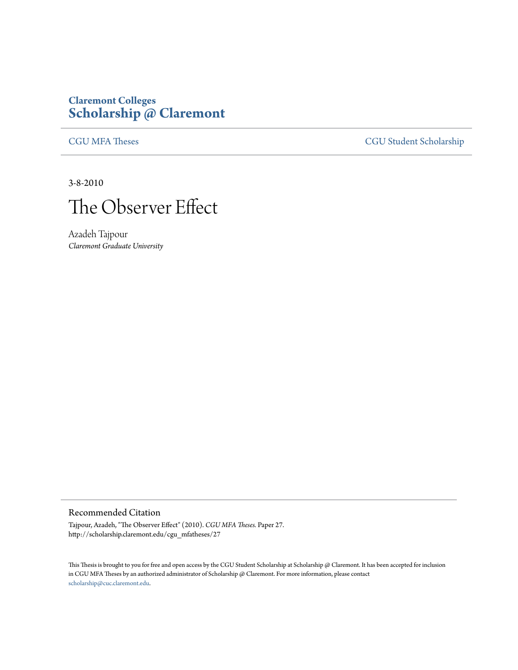## **Claremont Colleges [Scholarship @ Claremont](http://scholarship.claremont.edu)**

[CGU MFA Theses](http://scholarship.claremont.edu/cgu_mfatheses) [CGU Student Scholarship](http://scholarship.claremont.edu/cgu_student)

3-8-2010



Azadeh Tajpour *Claremont Graduate University*

## Recommended Citation

Tajpour, Azadeh, "The Observer Effect" (2010). *CGU MFA Theses.* Paper 27. http://scholarship.claremont.edu/cgu\_mfatheses/27

This Thesis is brought to you for free and open access by the CGU Student Scholarship at Scholarship @ Claremont. It has been accepted for inclusion in CGU MFA Theses by an authorized administrator of Scholarship @ Claremont. For more information, please contact [scholarship@cuc.claremont.edu.](mailto:scholarship@cuc.claremont.edu)